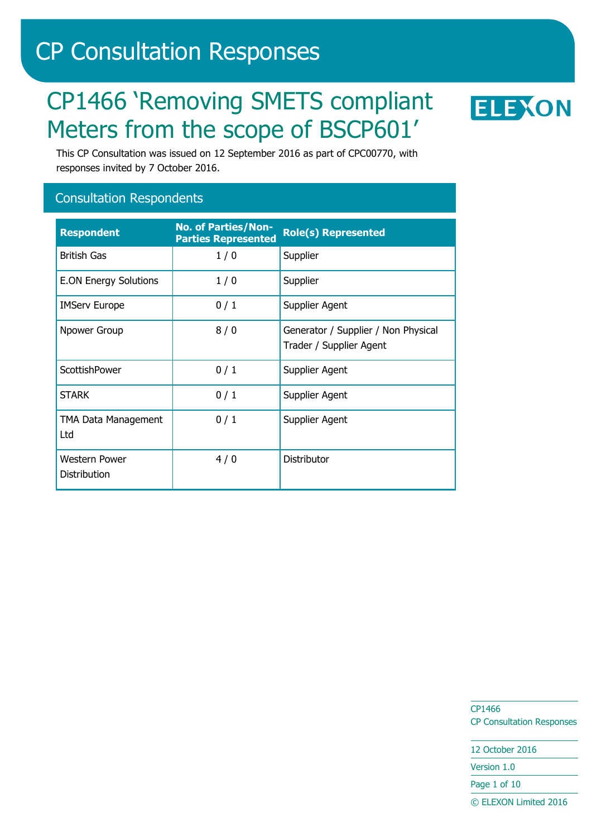# CP Consultation Responses

# CP1466 'Removing SMETS compliant Meters from the scope of BSCP601'



This CP Consultation was issued on 12 September 2016 as part of CPC00770, with responses invited by 7 October 2016.

# Consultation Respondents

| <b>Respondent</b>                    | <b>No. of Parties/Non-</b><br><b>Parties Represented</b> | <b>Role(s) Represented</b>                                     |
|--------------------------------------|----------------------------------------------------------|----------------------------------------------------------------|
| <b>British Gas</b>                   | 1/0                                                      | Supplier                                                       |
| <b>E.ON Energy Solutions</b>         | 1/0                                                      | Supplier                                                       |
| <b>IMServ Europe</b>                 | 0/1                                                      | Supplier Agent                                                 |
| Npower Group                         | 8/0                                                      | Generator / Supplier / Non Physical<br>Trader / Supplier Agent |
| ScottishPower                        | 0/1                                                      | Supplier Agent                                                 |
| <b>STARK</b>                         | 0/1                                                      | Supplier Agent                                                 |
| TMA Data Management<br>Ltd           | 0/1                                                      | Supplier Agent                                                 |
| <b>Western Power</b><br>Distribution | 4/0                                                      | Distributor                                                    |

CP1466 CP Consultation Responses

12 October 2016

Version 1.0

Page 1 of 10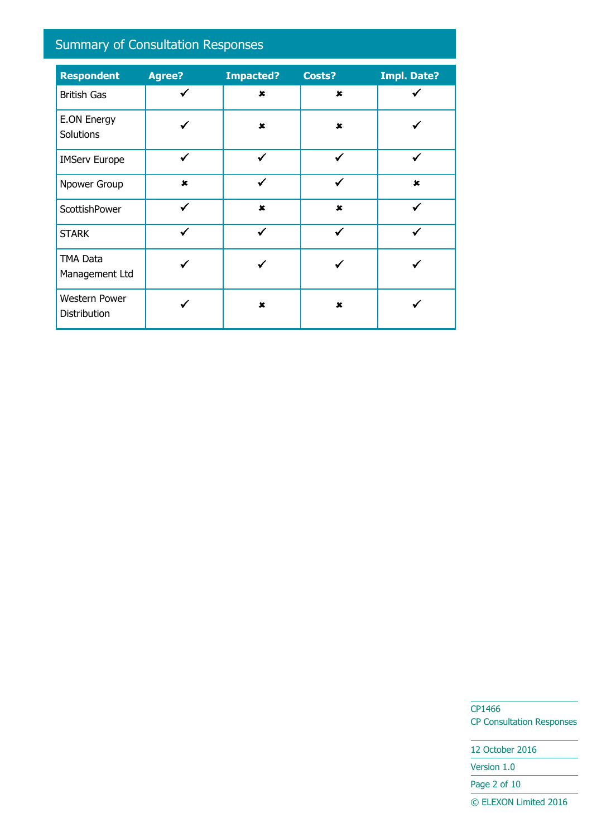# Summary of Consultation Responses

| <b>Respondent</b>                    | <b>Agree?</b> | <b>Impacted?</b> | Costs?                    | <b>Impl. Date?</b> |
|--------------------------------------|---------------|------------------|---------------------------|--------------------|
| <b>British Gas</b>                   | ✓             | $\mathbf x$      | $\pmb{x}$                 |                    |
| <b>E.ON Energy</b><br>Solutions      |               | $\pmb{x}$        | $\boldsymbol{\mathsf{x}}$ |                    |
| <b>IMServ Europe</b>                 | ✓             | ✓                | $\checkmark$              |                    |
| Npower Group                         | $\mathbf x$   | ✓                | ✓                         | $\mathbf x$        |
| ScottishPower                        | $\checkmark$  | $\mathbf x$      | $\mathbf x$               | $\checkmark$       |
| <b>STARK</b>                         | $\checkmark$  | ✓                | ✔                         |                    |
| <b>TMA Data</b><br>Management Ltd    |               |                  |                           |                    |
| <b>Western Power</b><br>Distribution |               | $\mathbf x$      | $\mathbf x$               |                    |

CP1466 CP Consultation Responses

12 October 2016 Version 1.0

Page 2 of 10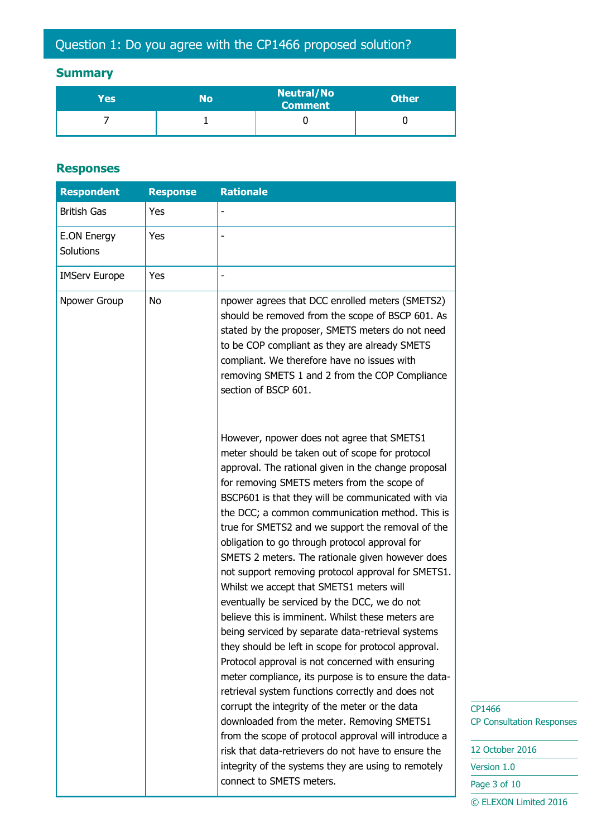# **Summary**

| Yes | No | <b>Neutral/No</b><br><b>Comment</b> | <b>Other</b> |
|-----|----|-------------------------------------|--------------|
|     |    |                                     |              |

# **Responses**

| <b>Respondent</b>        | <b>Response</b> | <b>Rationale</b>                                                                                                                                                                                                                                                                                                                                                                                                                                                                                                                                                                                                                                                                                                                                                                                                                                                                                                                                                                                                                                                                                                                                                                                                                                              |
|--------------------------|-----------------|---------------------------------------------------------------------------------------------------------------------------------------------------------------------------------------------------------------------------------------------------------------------------------------------------------------------------------------------------------------------------------------------------------------------------------------------------------------------------------------------------------------------------------------------------------------------------------------------------------------------------------------------------------------------------------------------------------------------------------------------------------------------------------------------------------------------------------------------------------------------------------------------------------------------------------------------------------------------------------------------------------------------------------------------------------------------------------------------------------------------------------------------------------------------------------------------------------------------------------------------------------------|
| <b>British Gas</b>       | Yes             |                                                                                                                                                                                                                                                                                                                                                                                                                                                                                                                                                                                                                                                                                                                                                                                                                                                                                                                                                                                                                                                                                                                                                                                                                                                               |
| E.ON Energy<br>Solutions | Yes             |                                                                                                                                                                                                                                                                                                                                                                                                                                                                                                                                                                                                                                                                                                                                                                                                                                                                                                                                                                                                                                                                                                                                                                                                                                                               |
| <b>IMServ Europe</b>     | Yes             |                                                                                                                                                                                                                                                                                                                                                                                                                                                                                                                                                                                                                                                                                                                                                                                                                                                                                                                                                                                                                                                                                                                                                                                                                                                               |
| Npower Group             | No              | npower agrees that DCC enrolled meters (SMETS2)<br>should be removed from the scope of BSCP 601. As<br>stated by the proposer, SMETS meters do not need<br>to be COP compliant as they are already SMETS<br>compliant. We therefore have no issues with<br>removing SMETS 1 and 2 from the COP Compliance<br>section of BSCP 601.                                                                                                                                                                                                                                                                                                                                                                                                                                                                                                                                                                                                                                                                                                                                                                                                                                                                                                                             |
|                          |                 | However, npower does not agree that SMETS1<br>meter should be taken out of scope for protocol<br>approval. The rational given in the change proposal<br>for removing SMETS meters from the scope of<br>BSCP601 is that they will be communicated with via<br>the DCC; a common communication method. This is<br>true for SMETS2 and we support the removal of the<br>obligation to go through protocol approval for<br>SMETS 2 meters. The rationale given however does<br>not support removing protocol approval for SMETS1.<br>Whilst we accept that SMETS1 meters will<br>eventually be serviced by the DCC, we do not<br>believe this is imminent. Whilst these meters are<br>being serviced by separate data-retrieval systems<br>they should be left in scope for protocol approval.<br>Protocol approval is not concerned with ensuring<br>meter compliance, its purpose is to ensure the data-<br>retrieval system functions correctly and does not<br>corrupt the integrity of the meter or the data<br>downloaded from the meter. Removing SMETS1<br>from the scope of protocol approval will introduce a<br>risk that data-retrievers do not have to ensure the<br>integrity of the systems they are using to remotely<br>connect to SMETS meters. |

P1466 P Consultation Responses

| 12 October 2016       |
|-----------------------|
| Version 1.0           |
| Page 3 of 10          |
|                       |
| © ELEXON Limited 2016 |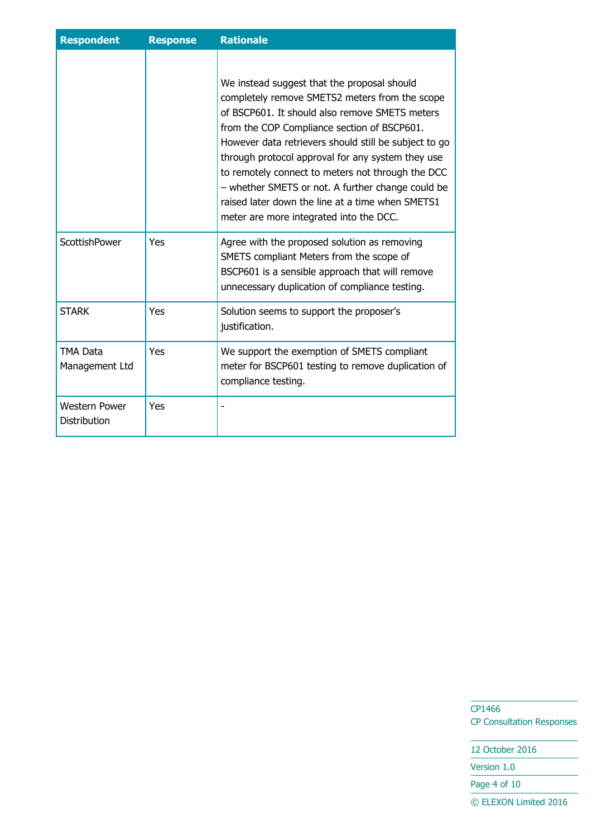| <b>Respondent</b>                           | <b>Response</b> | <b>Rationale</b>                                                                                                                                                                                                                                                                                                                                                                                                                                                                                                      |
|---------------------------------------------|-----------------|-----------------------------------------------------------------------------------------------------------------------------------------------------------------------------------------------------------------------------------------------------------------------------------------------------------------------------------------------------------------------------------------------------------------------------------------------------------------------------------------------------------------------|
|                                             |                 | We instead suggest that the proposal should<br>completely remove SMETS2 meters from the scope<br>of BSCP601. It should also remove SMETS meters<br>from the COP Compliance section of BSCP601.<br>However data retrievers should still be subject to go<br>through protocol approval for any system they use<br>to remotely connect to meters not through the DCC<br>- whether SMETS or not. A further change could be<br>raised later down the line at a time when SMETS1<br>meter are more integrated into the DCC. |
| ScottishPower                               | Yes             | Agree with the proposed solution as removing<br>SMETS compliant Meters from the scope of<br>BSCP601 is a sensible approach that will remove<br>unnecessary duplication of compliance testing.                                                                                                                                                                                                                                                                                                                         |
| <b>STARK</b>                                | Yes             | Solution seems to support the proposer's<br>justification.                                                                                                                                                                                                                                                                                                                                                                                                                                                            |
| <b>TMA Data</b><br>Management Ltd           | Yes             | We support the exemption of SMETS compliant<br>meter for BSCP601 testing to remove duplication of<br>compliance testing.                                                                                                                                                                                                                                                                                                                                                                                              |
| <b>Western Power</b><br><b>Distribution</b> | Yes             |                                                                                                                                                                                                                                                                                                                                                                                                                                                                                                                       |

CP1466 CP Consultation Responses

12 October 2016

Version 1.0

Page 4 of 10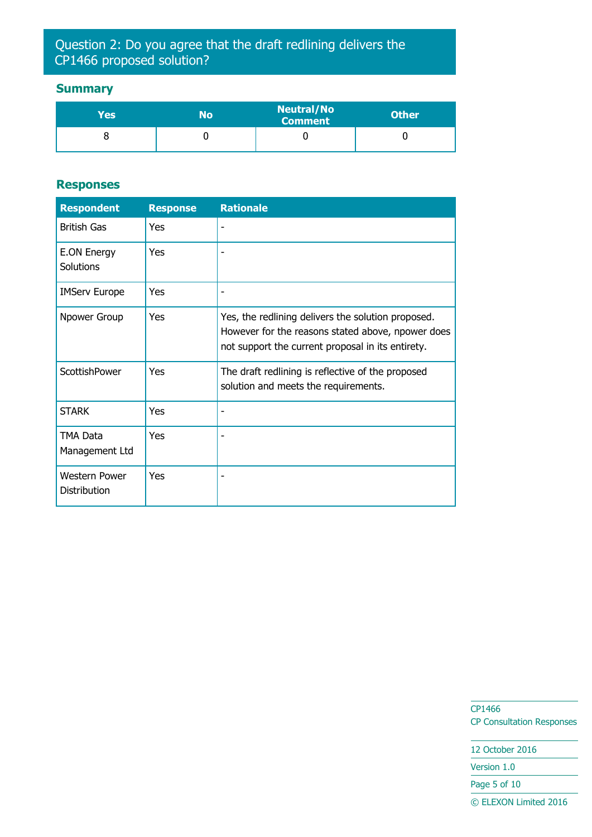# Question 2: Do you agree that the draft redlining delivers the CP1466 proposed solution?

# **Summary**

| Yes | No | <b>Neutral/No</b><br><b>Comment</b> | <b>Other</b> |
|-----|----|-------------------------------------|--------------|
|     |    |                                     |              |

#### **Responses**

| <b>Respondent</b>                    | <b>Response</b> | <b>Rationale</b>                                                                                                                                             |
|--------------------------------------|-----------------|--------------------------------------------------------------------------------------------------------------------------------------------------------------|
| <b>British Gas</b>                   | Yes             |                                                                                                                                                              |
| E.ON Energy<br>Solutions             | Yes             |                                                                                                                                                              |
| <b>IMServ Europe</b>                 | Yes             |                                                                                                                                                              |
| Npower Group                         | Yes             | Yes, the redlining delivers the solution proposed.<br>However for the reasons stated above, npower does<br>not support the current proposal in its entirety. |
| ScottishPower                        | Yes             | The draft redlining is reflective of the proposed<br>solution and meets the requirements.                                                                    |
| <b>STARK</b>                         | Yes             |                                                                                                                                                              |
| <b>TMA Data</b><br>Management Ltd    | Yes             |                                                                                                                                                              |
| <b>Western Power</b><br>Distribution | Yes             |                                                                                                                                                              |

CP1466 CP Consultation Responses

12 October 2016

Version 1.0

Page 5 of 10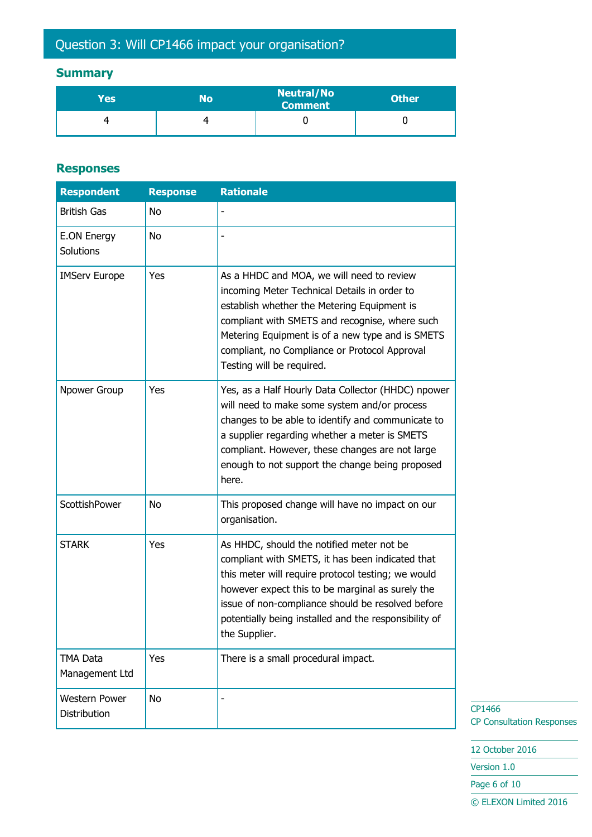# Question 3: Will CP1466 impact your organisation?

# **Summary**

| Yes | No | <b>Neutral/No</b><br><b>Comment</b> | <b>Other</b> |
|-----|----|-------------------------------------|--------------|
|     | ⊿  |                                     |              |

#### **Responses**

| <b>Respondent</b>                    | <b>Response</b> | <b>Rationale</b>                                                                                                                                                                                                                                                                                                                       |
|--------------------------------------|-----------------|----------------------------------------------------------------------------------------------------------------------------------------------------------------------------------------------------------------------------------------------------------------------------------------------------------------------------------------|
| <b>British Gas</b>                   | No              |                                                                                                                                                                                                                                                                                                                                        |
| <b>E.ON Energy</b><br>Solutions      | No              |                                                                                                                                                                                                                                                                                                                                        |
| <b>IMServ Europe</b>                 | Yes             | As a HHDC and MOA, we will need to review<br>incoming Meter Technical Details in order to<br>establish whether the Metering Equipment is<br>compliant with SMETS and recognise, where such<br>Metering Equipment is of a new type and is SMETS<br>compliant, no Compliance or Protocol Approval<br>Testing will be required.           |
| Npower Group                         | Yes             | Yes, as a Half Hourly Data Collector (HHDC) npower<br>will need to make some system and/or process<br>changes to be able to identify and communicate to<br>a supplier regarding whether a meter is SMETS<br>compliant. However, these changes are not large<br>enough to not support the change being proposed<br>here.                |
| ScottishPower                        | No              | This proposed change will have no impact on our<br>organisation.                                                                                                                                                                                                                                                                       |
| <b>STARK</b>                         | Yes             | As HHDC, should the notified meter not be<br>compliant with SMETS, it has been indicated that<br>this meter will require protocol testing; we would<br>however expect this to be marginal as surely the<br>issue of non-compliance should be resolved before<br>potentially being installed and the responsibility of<br>the Supplier. |
| <b>TMA Data</b><br>Management Ltd    | Yes             | There is a small procedural impact.                                                                                                                                                                                                                                                                                                    |
| <b>Western Power</b><br>Distribution | <b>No</b>       |                                                                                                                                                                                                                                                                                                                                        |

CP1466 CP Consultation Responses

12 October 2016

Version 1.0

Page 6 of 10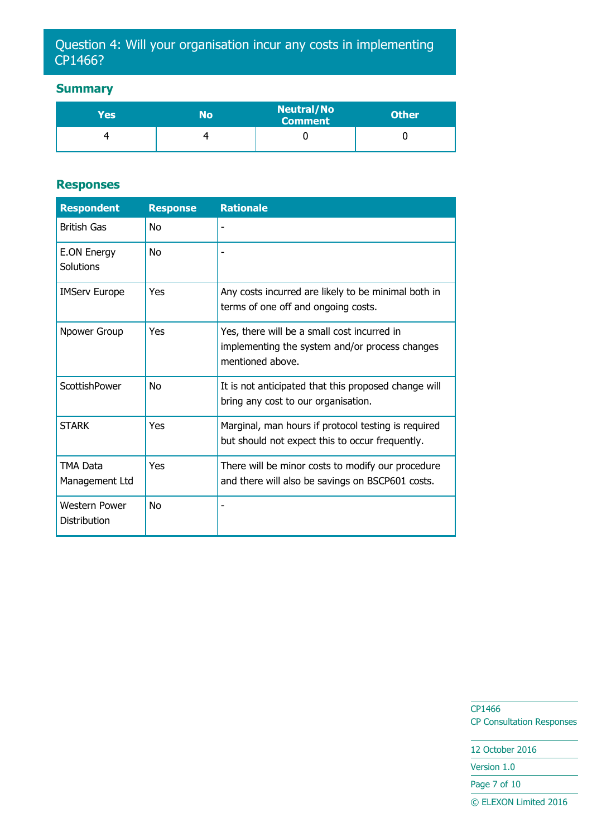# Question 4: Will your organisation incur any costs in implementing CP1466?

# **Summary**

| Yes' | No | <b>Neutral/No</b><br><b>Comment</b> | <b>Other</b> |
|------|----|-------------------------------------|--------------|
|      |    |                                     |              |

#### **Responses**

| <b>Respondent</b>                           | <b>Response</b> | <b>Rationale</b>                                                                                                  |
|---------------------------------------------|-----------------|-------------------------------------------------------------------------------------------------------------------|
| <b>British Gas</b>                          | <b>No</b>       |                                                                                                                   |
| <b>E.ON Energy</b><br>Solutions             | No              |                                                                                                                   |
| <b>IMServ Europe</b>                        | Yes             | Any costs incurred are likely to be minimal both in<br>terms of one off and ongoing costs.                        |
| Npower Group                                | Yes             | Yes, there will be a small cost incurred in<br>implementing the system and/or process changes<br>mentioned above. |
| ScottishPower                               | <b>No</b>       | It is not anticipated that this proposed change will<br>bring any cost to our organisation.                       |
| <b>STARK</b>                                | Yes             | Marginal, man hours if protocol testing is required<br>but should not expect this to occur frequently.            |
| TMA Data<br>Management Ltd                  | Yes             | There will be minor costs to modify our procedure<br>and there will also be savings on BSCP601 costs.             |
| <b>Western Power</b><br><b>Distribution</b> | No              |                                                                                                                   |

CP1466 CP Consultation Responses

12 October 2016

Version 1.0

Page 7 of 10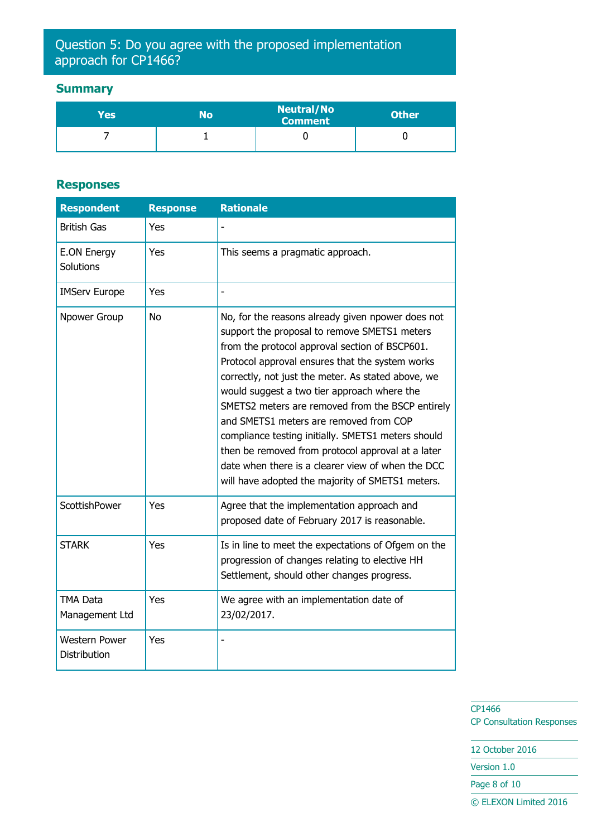# Question 5: Do you agree with the proposed implementation approach for CP1466?

# **Summary**

| Yes | No | <b>Neutral/No</b><br><b>Comment</b> | <b>Other</b> |
|-----|----|-------------------------------------|--------------|
|     |    |                                     |              |

#### **Responses**

| <b>Respondent</b>                    | <b>Response</b> | <b>Rationale</b>                                                                                                                                                                                                                                                                                                                                                                                                                                                                                                                                                                                                              |
|--------------------------------------|-----------------|-------------------------------------------------------------------------------------------------------------------------------------------------------------------------------------------------------------------------------------------------------------------------------------------------------------------------------------------------------------------------------------------------------------------------------------------------------------------------------------------------------------------------------------------------------------------------------------------------------------------------------|
| <b>British Gas</b>                   | Yes             |                                                                                                                                                                                                                                                                                                                                                                                                                                                                                                                                                                                                                               |
| E.ON Energy<br>Solutions             | Yes             | This seems a pragmatic approach.                                                                                                                                                                                                                                                                                                                                                                                                                                                                                                                                                                                              |
| <b>IMServ Europe</b>                 | Yes             |                                                                                                                                                                                                                                                                                                                                                                                                                                                                                                                                                                                                                               |
| Npower Group                         | <b>No</b>       | No, for the reasons already given npower does not<br>support the proposal to remove SMETS1 meters<br>from the protocol approval section of BSCP601.<br>Protocol approval ensures that the system works<br>correctly, not just the meter. As stated above, we<br>would suggest a two tier approach where the<br>SMETS2 meters are removed from the BSCP entirely<br>and SMETS1 meters are removed from COP<br>compliance testing initially. SMETS1 meters should<br>then be removed from protocol approval at a later<br>date when there is a clearer view of when the DCC<br>will have adopted the majority of SMETS1 meters. |
| ScottishPower                        | Yes             | Agree that the implementation approach and<br>proposed date of February 2017 is reasonable.                                                                                                                                                                                                                                                                                                                                                                                                                                                                                                                                   |
| <b>STARK</b>                         | Yes             | Is in line to meet the expectations of Ofgem on the<br>progression of changes relating to elective HH<br>Settlement, should other changes progress.                                                                                                                                                                                                                                                                                                                                                                                                                                                                           |
| <b>TMA Data</b><br>Management Ltd    | Yes             | We agree with an implementation date of<br>23/02/2017.                                                                                                                                                                                                                                                                                                                                                                                                                                                                                                                                                                        |
| <b>Western Power</b><br>Distribution | Yes             |                                                                                                                                                                                                                                                                                                                                                                                                                                                                                                                                                                                                                               |

CP1466 CP Consultation Responses

12 October 2016 Version 1.0

Page 8 of 10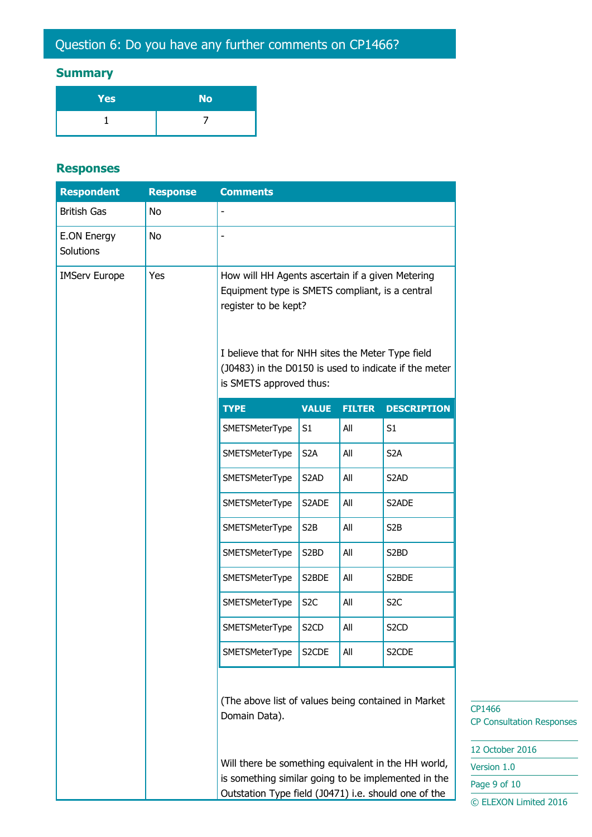# Question 6: Do you have any further comments on CP1466?

# **Summary**

| Yes | <b>No</b> |
|-----|-----------|
|     |           |

#### **Responses**

| <b>Respondent</b>               | <b>Response</b> | <b>Comments</b>                                                                                                                                                                                                                                                      |                   |               |                    |
|---------------------------------|-----------------|----------------------------------------------------------------------------------------------------------------------------------------------------------------------------------------------------------------------------------------------------------------------|-------------------|---------------|--------------------|
| <b>British Gas</b>              | No              | $\qquad \qquad \blacksquare$                                                                                                                                                                                                                                         |                   |               |                    |
| E.ON Energy<br><b>Solutions</b> | No              | $\overline{\phantom{m}}$                                                                                                                                                                                                                                             |                   |               |                    |
| <b>IMServ Europe</b>            | Yes             | How will HH Agents ascertain if a given Metering<br>Equipment type is SMETS compliant, is a central<br>register to be kept?<br>I believe that for NHH sites the Meter Type field<br>(J0483) in the D0150 is used to indicate if the meter<br>is SMETS approved thus: |                   |               |                    |
|                                 |                 | <b>TYPE</b>                                                                                                                                                                                                                                                          | <b>VALUE</b>      | <b>FILTER</b> | <b>DESCRIPTION</b> |
|                                 |                 | <b>SMETSMeterType</b>                                                                                                                                                                                                                                                | S1                | All           | S1                 |
|                                 |                 | <b>SMETSMeterType</b>                                                                                                                                                                                                                                                | S <sub>2</sub> A  | All           | S <sub>2</sub> A   |
|                                 |                 | SMETSMeterType                                                                                                                                                                                                                                                       | S <sub>2</sub> AD | All           | S <sub>2</sub> AD  |
|                                 |                 | SMETSMeterType                                                                                                                                                                                                                                                       | S2ADE             | All           | S2ADE              |
|                                 |                 | SMETSMeterType                                                                                                                                                                                                                                                       | S <sub>2</sub> B  | All           | S <sub>2</sub> B   |
|                                 |                 | SMETSMeterType                                                                                                                                                                                                                                                       | S <sub>2</sub> BD | All           | S <sub>2</sub> BD  |
|                                 |                 | SMETSMeterType                                                                                                                                                                                                                                                       | S2BDE             | All           | S2BDE              |
|                                 |                 | <b>SMETSMeterType</b>                                                                                                                                                                                                                                                | S <sub>2</sub> C  | All           | S <sub>2</sub> C   |
|                                 |                 | SMETSMeterType                                                                                                                                                                                                                                                       | S <sub>2</sub> CD | All           | S <sub>2</sub> CD  |
|                                 |                 | SMETSMeterType                                                                                                                                                                                                                                                       | S2CDE             | All           | S2CDE              |
|                                 |                 | (The above list of values being contained in Market<br>Domain Data).<br>Will there be something equivalent in the HH world,<br>is something similar going to be implemented in the<br>Outstation Type field (J0471) i.e. should one of the                           |                   |               |                    |

CP1466 CP Consultation Responses

12 October 2016

Version 1.0

Page 9 of 10